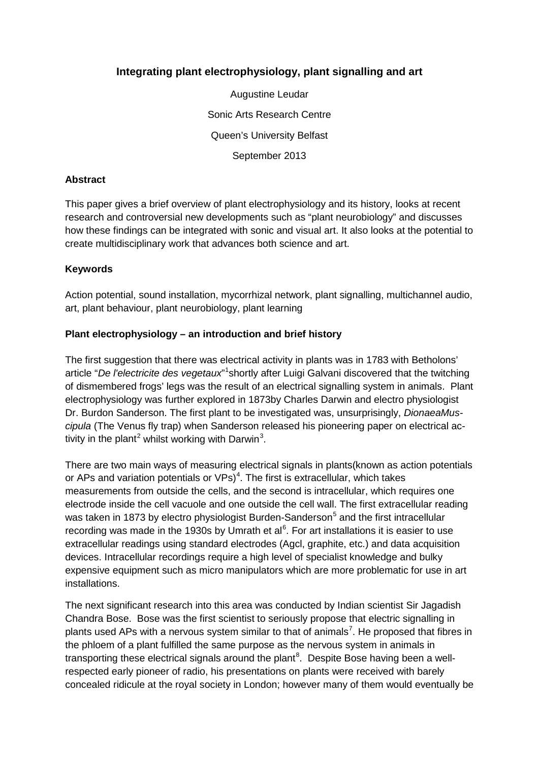# **Integrating plant electrophysiology, plant signalling and art**

Augustine Leudar Sonic Arts Research Centre Queen's University Belfast September 2013

#### **Abstract**

This paper gives a brief overview of plant electrophysiology and its history, looks at recent research and controversial new developments such as "plant neurobiology" and discusses how these findings can be integrated with sonic and visual art. It also looks at the potential to create multidisciplinary work that advances both science and art.

#### **Keywords**

Action potential, sound installation, mycorrhizal network, plant signalling, multichannel audio, art, plant behaviour, plant neurobiology, plant learning

#### **Plant electrophysiology – an introduction and brief history**

The first suggestion that there was electrical activity in plants was in 1783 with Betholons' article "De l'electricite des vegetaux"<sup>[1](#page-4-0)</sup> shortly after Luigi Galvani discovered that the twitching of dismembered frogs' legs was the result of an electrical signalling system in animals. Plant electrophysiology was further explored in 1873by Charles Darwin and electro physiologist Dr. Burdon Sanderson. The first plant to be investigated was, unsurprisingly, *DionaeaMuscipula* (The Venus fly trap) when Sanderson released his pioneering paper on electrical ac-tivity in the plant<sup>[2](#page-4-1)</sup> whilst working with Darwin<sup>[3](#page-4-2)</sup>.

There are two main ways of measuring electrical signals in plants(known as action potentials or APs and variation potentials or VPs)<sup>[4](#page-4-3)</sup>. The first is extracellular, which takes measurements from outside the cells, and the second is intracellular, which requires one electrode inside the cell vacuole and one outside the cell wall. The first extracellular reading was taken in 1873 by electro physiologist Burden-Sanderson<sup>[5](#page-4-4)</sup> and the first intracellular recording was made in the 1930s by Umrath et al $6$ . For art installations it is easier to use extracellular readings using standard electrodes (Agcl, graphite, etc.) and data acquisition devices. Intracellular recordings require a high level of specialist knowledge and bulky expensive equipment such as micro manipulators which are more problematic for use in art installations.

The next significant research into this area was conducted by Indian scientist Sir Jagadish Chandra Bose. Bose was the first scientist to seriously propose that electric signalling in plants used APs with a nervous system similar to that of animals<sup>[7](#page-4-6)</sup>. He proposed that fibres in the phloem of a plant fulfilled the same purpose as the nervous system in animals in transporting these electrical signals around the plant<sup>[8](#page-4-7)</sup>. Despite Bose having been a wellrespected early pioneer of radio, his presentations on plants were received with barely concealed ridicule at the royal society in London; however many of them would eventually be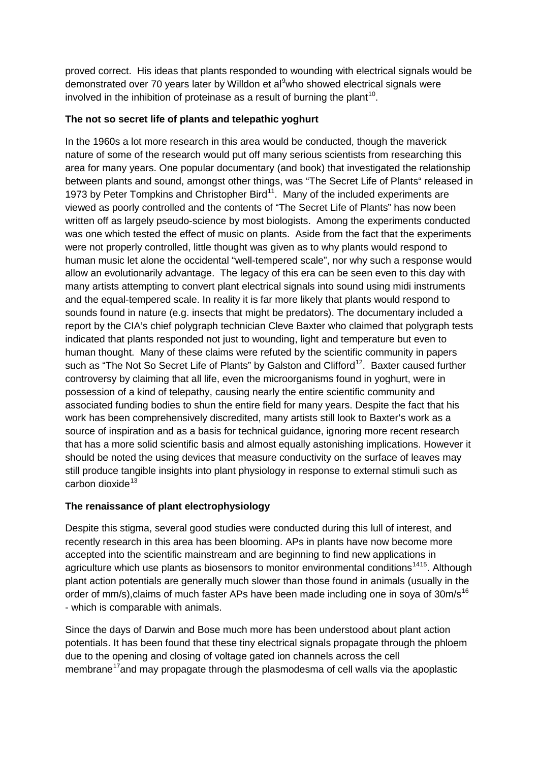proved correct. His ideas that plants responded to wounding with electrical signals would be demonstrated over 70 years later by Willdon et al<sup>[9](#page-5-0)</sup>who showed electrical signals were involved in the inhibition of proteinase as a result of burning the plant<sup>10</sup>.

## **The not so secret life of plants and telepathic yoghurt**

In the 1960s a lot more research in this area would be conducted, though the maverick nature of some of the research would put off many serious scientists from researching this area for many years. One popular documentary (and book) that investigated the relationship between plants and sound, amongst other things, was "The Secret Life of Plants" released in 1973 by Peter Tompkins and Christopher Bird<sup>[11](#page-5-2)</sup>. Many of the included experiments are viewed as poorly controlled and the contents of "The Secret Life of Plants" has now been written off as largely pseudo-science by most biologists. Among the experiments conducted was one which tested the effect of music on plants. Aside from the fact that the experiments were not properly controlled, little thought was given as to why plants would respond to human music let alone the occidental "well-tempered scale", nor why such a response would allow an evolutionarily advantage. The legacy of this era can be seen even to this day with many artists attempting to convert plant electrical signals into sound using midi instruments and the equal-tempered scale. In reality it is far more likely that plants would respond to sounds found in nature (e.g. insects that might be predators). The documentary included a report by the CIA's chief polygraph technician Cleve Baxter who claimed that polygraph tests indicated that plants responded not just to wounding, light and temperature but even to human thought. Many of these claims were refuted by the scientific community in papers such as "The Not So Secret Life of Plants" by Galston and Clifford<sup>12</sup>. Baxter caused further controversy by claiming that all life, even the microorganisms found in yoghurt, were in possession of a kind of telepathy, causing nearly the entire scientific community and associated funding bodies to shun the entire field for many years. Despite the fact that his work has been comprehensively discredited, many artists still look to Baxter's work as a source of inspiration and as a basis for technical guidance, ignoring more recent research that has a more solid scientific basis and almost equally astonishing implications. However it should be noted the using devices that measure conductivity on the surface of leaves may still produce tangible insights into plant physiology in response to external stimuli such as carbon dioxide $13$ 

# **The renaissance of plant electrophysiology**

Despite this stigma, several good studies were conducted during this lull of interest, and recently research in this area has been blooming. APs in plants have now become more accepted into the scientific mainstream and are beginning to find new applications in agriculture which use plants as biosensors to monitor environmental conditions<sup>[14](#page-5-5)15</sup>. Although plant action potentials are generally much slower than those found in animals (usually in the order of mm/s), claims of much faster APs have been made including one in soya of  $30m/s<sup>16</sup>$  $30m/s<sup>16</sup>$  $30m/s<sup>16</sup>$ - which is comparable with animals.

Since the days of Darwin and Bose much more has been understood about plant action potentials. It has been found that these tiny electrical signals propagate through the phloem due to the opening and closing of voltage gated ion channels across the cell membrane<sup>17</sup> and may propagate through the plasmodesma of cell walls via the apoplastic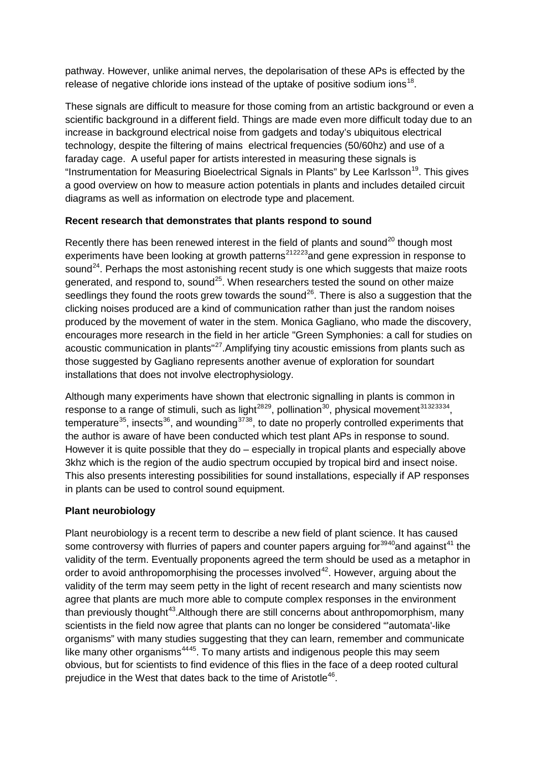pathway. However, unlike animal nerves, the depolarisation of these APs is effected by the release of negative chloride ions instead of the uptake of positive sodium ions<sup>[18](#page-6-0)</sup>.

These signals are difficult to measure for those coming from an artistic background or even a scientific background in a different field. Things are made even more difficult today due to an increase in background electrical noise from gadgets and today's ubiquitous electrical technology, despite the filtering of mains electrical frequencies (50/60hz) and use of a faraday cage. A useful paper for artists interested in measuring these signals is "Instrumentation for Measuring Bioelectrical Signals in Plants" by Lee Karlsson<sup>[19](#page-6-0)</sup>. This gives a good overview on how to measure action potentials in plants and includes detailed circuit diagrams as well as information on electrode type and placement.

## **Recent research that demonstrates that plants respond to sound**

Recently there has been renewed interest in the field of plants and sound<sup>[20](#page-6-0)</sup> though most experiments have been looking at growth patterns<sup>[212223](#page-6-0)</sup> and gene expression in response to sound<sup>[24](#page-6-0)</sup>. Perhaps the most astonishing recent study is one which suggests that maize roots generated, and respond to, sound<sup>[25](#page-6-0)</sup>. When researchers tested the sound on other maize seedlings they found the roots grew towards the sound<sup>26</sup>. There is also a suggestion that the clicking noises produced are a kind of communication rather than just the random noises produced by the movement of water in the stem. Monica Gagliano, who made the discovery, encourages more research in the field in her article "Green Symphonies: a call for studies on acoustic communication in plants"<sup>27</sup>. Amplifying tiny acoustic emissions from plants such as those suggested by Gagliano represents another avenue of exploration for soundart installations that does not involve electrophysiology.

Although many experiments have shown that electronic signalling in plants is common in response to a range of stimuli, such as light<sup>2829</sup>, pollination<sup>30</sup>, physical movement<sup>31323334</sup>, temperature<sup>35</sup>, insects<sup>[36](#page-6-0)</sup>, and wounding<sup>[3738](#page-6-0)</sup>, to date no properly controlled experiments that the author is aware of have been conducted which test plant APs in response to sound. However it is quite possible that they do – especially in tropical plants and especially above 3khz which is the region of the audio spectrum occupied by tropical bird and insect noise. This also presents interesting possibilities for sound installations, especially if AP responses in plants can be used to control sound equipment.

# **Plant neurobiology**

Plant neurobiology is a recent term to describe a new field of plant science. It has caused some controversy with flurries of papers and counter papers arguing for  $3940$  and against<sup>[41](#page-6-0)</sup> the validity of the term. Eventually proponents agreed the term should be used as a metaphor in order to avoid anthropomorphising the processes involved $42$ . However, arguing about the validity of the term may seem petty in the light of recent research and many scientists now agree that plants are much more able to compute complex responses in the environment than previously thought<sup>43</sup>. Although there are still concerns about anthropomorphism, many scientists in the field now agree that plants can no longer be considered "'automata'-like organisms" with many studies suggesting that they can learn, remember and communicate like many other organisms<sup>4445</sup>. To many artists and indigenous people this may seem obvious, but for scientists to find evidence of this flies in the face of a deep rooted cultural prejudice in the West that dates back to the time of Aristotle<sup>46</sup>.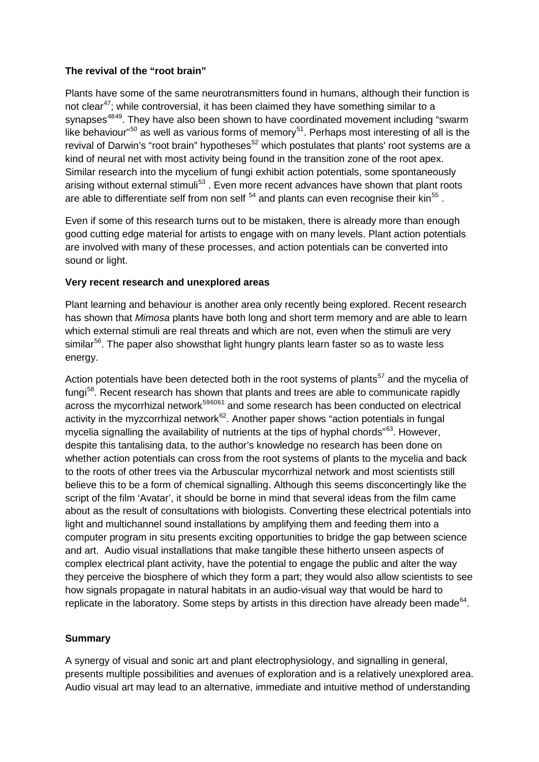## **The revival of the "root brain"**

Plants have some of the same neurotransmitters found in humans, although their function is not clear<sup>[47](#page-7-0)</sup>; while controversial, it has been claimed they have something similar to a synapses<sup>4849</sup>. They have also been shown to have coordinated movement including "swarm like behaviour"<sup>[50](#page-7-0)</sup> as well as various forms of memory<sup>51</sup>. Perhaps most interesting of all is the revival of Darwin's "root brain" hypotheses $52$  which postulates that plants' root systems are a kind of neural net with most activity being found in the transition zone of the root apex. Similar research into the mycelium of fungi exhibit action potentials, some spontaneously arising without external stimuli<sup>[53](#page-7-0)</sup>. Even more recent advances have shown that plant roots are able to differentiate self from non self  $54$  and plants can even recognise their kin<sup>[55](#page-7-0)</sup>.

Even if some of this research turns out to be mistaken, there is already more than enough good cutting edge material for artists to engage with on many levels. Plant action potentials are involved with many of these processes, and action potentials can be converted into sound or light.

## **Very recent research and unexplored areas**

Plant learning and behaviour is another area only recently being explored. Recent research has shown that *Mimosa* plants have both long and short term memory and are able to learn which external stimuli are real threats and which are not, even when the stimuli are very similar<sup>56</sup>. The paper also showsthat light hungry plants learn faster so as to waste less energy.

Action potentials have been detected both in the root systems of plants<sup>[57](#page-7-0)</sup> and the mycelia of fungi<sup>[58](#page-7-0)</sup>. Recent research has shown that plants and trees are able to communicate rapidly across the mycorrhizal network<sup>[596061](#page-7-0)</sup> and some research has been conducted on electrical activity in the myzcorrhizal network $62$ . Another paper shows "action potentials in fungal mycelia signalling the availability of nutrients at the tips of hyphal chords<sup>"[63](#page-7-0)</sup>. However, despite this tantalising data, to the author's knowledge no research has been done on whether action potentials can cross from the root systems of plants to the mycelia and back to the roots of other trees via the Arbuscular mycorrhizal network and most scientists still believe this to be a form of chemical signalling. Although this seems disconcertingly like the script of the film 'Avatar', it should be borne in mind that several ideas from the film came about as the result of consultations with biologists. Converting these electrical potentials into light and multichannel sound installations by amplifying them and feeding them into a computer program in situ presents exciting opportunities to bridge the gap between science and art. Audio visual installations that make tangible these hitherto unseen aspects of complex electrical plant activity, have the potential to engage the public and alter the way they perceive the biosphere of which they form a part; they would also allow scientists to see how signals propagate in natural habitats in an audio-visual way that would be hard to replicate in the laboratory. Some steps by artists in this direction have already been made<sup>64</sup>.

# **Summary**

A synergy of visual and sonic art and plant electrophysiology, and signalling in general, presents multiple possibilities and avenues of exploration and is a relatively unexplored area. Audio visual art may lead to an alternative, immediate and intuitive method of understanding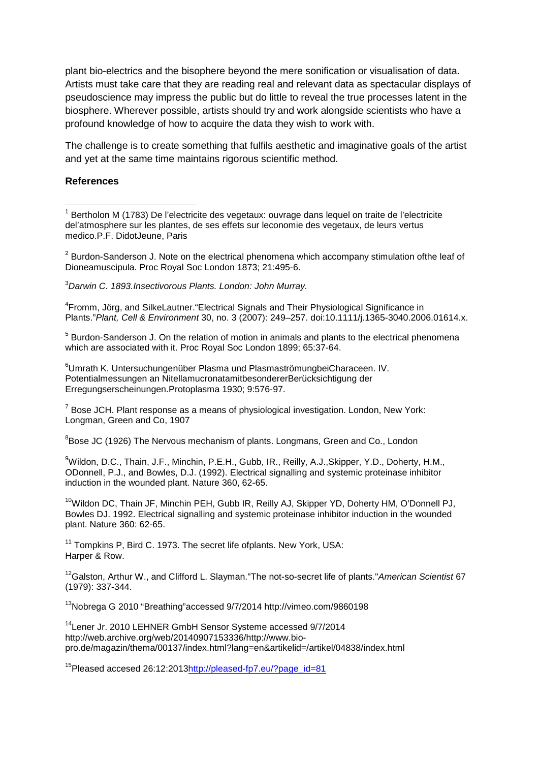plant bio-electrics and the bisophere beyond the mere sonification or visualisation of data. Artists must take care that they are reading real and relevant data as spectacular displays of pseudoscience may impress the public but do little to reveal the true processes latent in the biosphere. Wherever possible, artists should try and work alongside scientists who have a profound knowledge of how to acquire the data they wish to work with.

The challenge is to create something that fulfils aesthetic and imaginative goals of the artist and yet at the same time maintains rigorous scientific method.

#### **References**

 $\overline{\phantom{a}}$ 

<span id="page-4-0"></span> $1$  Bertholon M (1783) De l'electricite des vegetaux: ouvrage dans lequel on traite de l'electricite del'atmosphere sur les plantes, de ses effets sur leconomie des vegetaux, de leurs vertus medico.P.F. DidotJeune, Paris

<span id="page-4-1"></span> $2$  Burdon-Sanderson J. Note on the electrical phenomena which accompany stimulation ofthe leaf of Dioneamuscipula. Proc Royal Soc London 1873; 21:495-6.

<span id="page-4-2"></span>3 *Darwin C. 1893.Insectivorous Plants. London: John Murray.*

<span id="page-4-3"></span><sup>4</sup> Fromm, Jörg, and SilkeLautner."Electrical Signals and Their Physiological Significance in Plants."*Plant, Cell & Environment* 30, no. 3 (2007): 249–257. doi:10.1111/j.1365-3040.2006.01614.x.

<span id="page-4-4"></span><sup>5</sup> Burdon-Sanderson J. On the relation of motion in animals and plants to the electrical phenomena which are associated with it. Proc Royal Soc London 1899; 65:37-64.

<span id="page-4-5"></span>6 Umrath K. Untersuchungenüber Plasma und PlasmaströmungbeiCharaceen. IV. Potentialmessungen an NitellamucronatamitbesondererBerücksichtigung der Erregungserscheinungen.Protoplasma 1930; 9:576-97.

<span id="page-4-6"></span> $<sup>7</sup>$  Bose JCH. Plant response as a means of physiological investigation. London, New York:</sup> Longman, Green and Co, 1907

<sup>8</sup>Bose JC (1926) The Nervous mechanism of plants. Longmans, Green and Co., London

<span id="page-4-7"></span>9 Wildon, D.C., Thain, J.F., Minchin, P.E.H., Gubb, IR., Reilly, A.J.,Skipper, Y.D., Doherty, H.M., ODonnell, P.J., and Bowles, D.J. (1992). Electrical signalling and systemic proteinase inhibitor induction in the wounded plant. Nature 360, 62-65.

<sup>10</sup>Wildon DC, Thain JF, Minchin PEH, Gubb IR, Reilly AJ, Skipper YD, Doherty HM, O'Donnell PJ, Bowles DJ. 1992. Electrical signalling and systemic proteinase inhibitor induction in the wounded plant. Nature 360: 62-65.

 $11$  Tompkins P, Bird C. 1973. The secret life ofplants. New York, USA: Harper & Row.

12Galston, Arthur W., and Clifford L. Slayman."The not-so-secret life of plants."*American Scientist* 67 (1979): 337-344.

13Nobrega G 2010 "Breathing"accessed 9/7/2014 http://vimeo.com/9860198

14Lener Jr. 2010 LEHNER GmbH Sensor Systeme accessed 9/7/2014 http://web.archive.org/web/20140907153336/http://www.biopro.de/magazin/thema/00137/index.html?lang=en&artikelid=/artikel/04838/index.html

<sup>15</sup>Pleased accesed 26:12:201[3http://pleased-fp7.eu/?page\\_id=81](http://pleased-fp7.eu/?page_id=81)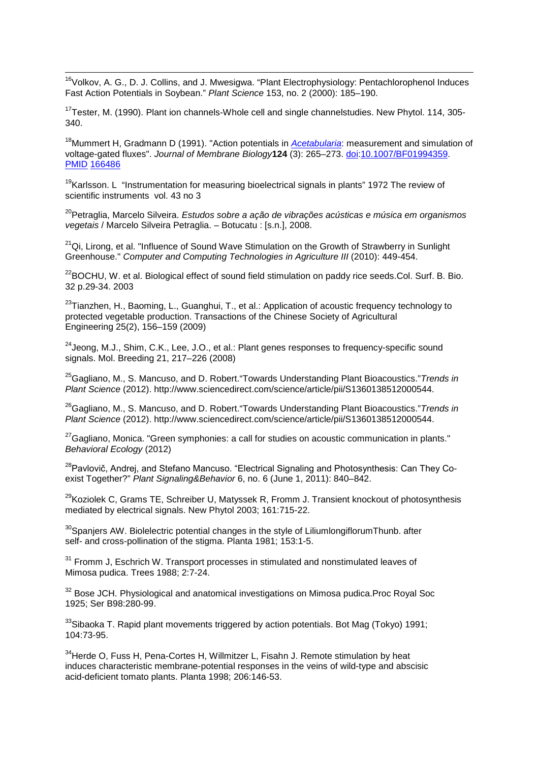<span id="page-5-7"></span><sup>16</sup>Volkov, A. G., D. J. Collins, and J. Mwesigwa. "Plant Electrophysiology: Pentachlorophenol Induces Fast Action Potentials in Soybean." *Plant Science* 153, no. 2 (2000): 185–190. **.** 

 $17$ Tester, M. (1990). Plant ion channels-Whole cell and single channelstudies. New Phytol. 114, 305-340.

18Mummert H, Gradmann D (1991). "Action potentials in *[Acetabularia](http://en.wikipedia.org/wiki/Acetabularia)*: measurement and simulation of voltage-gated fluxes". *Journal of Membrane Biology***124** (3): 265–273. [doi](http://en.wikipedia.org/wiki/Digital_object_identifier)[:10.1007/BF01994359.](http://dx.doi.org/10.1007%2FBF01994359) [PMID](http://en.wikipedia.org/wiki/PubMed_Identifier) [166486](http://www.ncbi.nlm.nih.gov/pubmed/1664861)

<sup>19</sup>Karlsson. L "Instrumentation for measuring bioelectrical signals in plants" 1972 The review of scientific instruments vol. 43 no 3

20Petraglia, Marcelo Silveira. *Estudos sobre a ação de vibrações acústicas e música em organismos vegetais* / Marcelo Silveira Petraglia. – Botucatu : [s.n.], 2008.

 $21$ Qi, Lirong, et al. "Influence of Sound Wave Stimulation on the Growth of Strawberry in Sunlight Greenhouse." *Computer and Computing Technologies in Agriculture III* (2010): 449-454.

<sup>22</sup>BOCHU, W. et al. Biological effect of sound field stimulation on paddy rice seeds.Col. Surf. B. Bio. 32 p.29-34. 2003

<sup>23</sup>Tianzhen, H., Baoming, L., Guanghui, T., et al.: Application of acoustic frequency technology to protected vegetable production. Transactions of the Chinese Society of Agricultural Engineering 25(2), 156–159 (2009)

<sup>24</sup> Jeong, M.J., Shim, C.K., Lee, J.O., et al.: Plant genes responses to frequency-specific sound signals. Mol. Breeding 21, 217–226 (2008)

25Gagliano, M., S. Mancuso, and D. Robert."Towards Understanding Plant Bioacoustics."*Trends in Plant Science* (2012). http://www.sciencedirect.com/science/article/pii/S1360138512000544.

26Gagliano, M., S. Mancuso, and D. Robert."Towards Understanding Plant Bioacoustics."*Trends in Plant Science* (2012). http://www.sciencedirect.com/science/article/pii/S1360138512000544.

 $27$ Gagliano, Monica. "Green symphonies: a call for studies on acoustic communication in plants." *Behavioral Ecology* (2012)

<span id="page-5-0"></span><sup>28</sup> Pavlovič, Andrej, and Stefano Mancuso. "Electrical Signaling and Photosynthesis: Can They Coexist Together?" *Plant Signaling&Behavior* 6, no. 6 (June 1, 2011): 840–842.

 $^{29}$ Koziolek C, Grams TE, Schreiber U, Matyssek R, Fromm J. Transient knockout of photosynthesis mediated by electrical signals. New Phytol 2003; 161:715-22.

<span id="page-5-1"></span> $30$ Spaniers AW. Biolelectric potential changes in the style of LiliumlongiflorumThunb. after self- and cross-pollination of the stigma. Planta 1981; 153:1-5.

<span id="page-5-2"></span> $31$  Fromm J, Eschrich W. Transport processes in stimulated and nonstimulated leaves of Mimosa pudica. Trees 1988; 2:7-24.

<span id="page-5-3"></span><sup>32</sup> Bose JCH. Physiological and anatomical investigations on Mimosa pudica.Proc Royal Soc 1925; Ser B98:280-99.

<span id="page-5-5"></span><span id="page-5-4"></span> $33$ Sibaoka T. Rapid plant movements triggered by action potentials. Bot Mag (Tokyo) 1991; 104:73-95.

<span id="page-5-6"></span><sup>34</sup> Herde O, Fuss H, Pena-Cortes H, Willmitzer L, Fisahn J. Remote stimulation by heat induces characteristic membrane-potential responses in the veins of wild-type and abscisic acid-deficient tomato plants. Planta 1998; 206:146-53.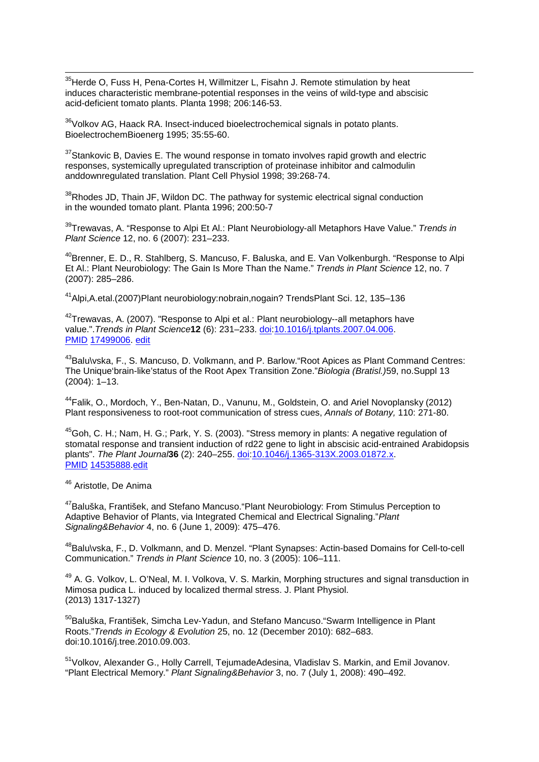<span id="page-6-0"></span><sup>35</sup> Herde O, Fuss H, Pena-Cortes H, Willmitzer L, Fisahn J. Remote stimulation by heat induces characteristic membrane-potential responses in the veins of wild-type and abscisic acid-deficient tomato plants. Planta 1998; 206:146-53. **.** 

<sup>36</sup>Volkov AG, Haack RA. Insect-induced bioelectrochemical signals in potato plants. BioelectrochemBioenerg 1995; 35:55-60.

 $37$ Stankovic B, Davies E. The wound response in tomato involves rapid growth and electric responses, systemically upregulated transcription of proteinase inhibitor and calmodulin anddownregulated translation. Plant Cell Physiol 1998; 39:268-74.

<sup>38</sup>Rhodes JD, Thain JF, Wildon DC. The pathway for systemic electrical signal conduction in the wounded tomato plant. Planta 1996; 200:50-7

39Trewavas, A. "Response to Alpi Et Al.: Plant Neurobiology-all Metaphors Have Value." *Trends in Plant Science* 12, no. 6 (2007): 231–233.

<sup>40</sup>Brenner, E. D., R. Stahlberg, S. Mancuso, F. Baluska, and E. Van Volkenburgh. "Response to Alpi Et Al.: Plant Neurobiology: The Gain Is More Than the Name." *Trends in Plant Science* 12, no. 7 (2007): 285–286.

41Alpi,A.etal.(2007)Plant neurobiology:nobrain,nogain? TrendsPlant Sci. 12, 135–136

 $42$ Trewavas, A. (2007). "Response to Alpi et al.: Plant neurobiology--all metaphors have value.".*Trends in Plant Science***12** (6): 231–233. [doi](http://en.wikipedia.org/wiki/Digital_object_identifier)[:10.1016/j.tplants.2007.04.006.](http://dx.doi.org/10.1016%2Fj.tplants.2007.04.006) [PMID](http://en.wikipedia.org/wiki/PubMed_Identifier) [17499006.](http://www.ncbi.nlm.nih.gov/pubmed/17499006) [edit](http://en.wikipedia.org/w/index.php?title=Template:Cite_pmid/17499006&action=edit&editintro=Template:Cite_pmid/editintro2)

<sup>43</sup>Balu\vska, F., S. Mancuso, D. Volkmann, and P. Barlow. "Root Apices as Plant Command Centres: The Unique'brain-like'status of the Root Apex Transition Zone."*Biologia (Bratisl.)*59, no.Suppl 13 (2004): 1–13.

44Falik, O., Mordoch, Y., Ben-Natan, D., Vanunu, M., Goldstein, O. and Ariel Novoplansky (2012) Plant responsiveness to root-root communication of stress cues, *Annals of Botany,* 110: 271-80.

45Goh, C. H.; Nam, H. G.; Park, Y. S. (2003). "Stress memory in plants: A negative regulation of stomatal response and transient induction of rd22 gene to light in abscisic acid-entrained Arabidopsis plants". *The Plant Journal***36** (2): 240–255. [doi](http://en.wikipedia.org/wiki/Digital_object_identifier)[:10.1046/j.1365-313X.2003.01872.x.](http://dx.doi.org/10.1046%2Fj.1365-313X.2003.01872.x) [PMID](http://en.wikipedia.org/wiki/PubMed_Identifier) [14535888.](http://www.ncbi.nlm.nih.gov/pubmed/14535888)[edit](http://en.wikipedia.org/w/index.php?title=Template:Cite_doi/10.1046.2Fj.1365-313X.2003.01872.x&action=edit&editintro=Template:Cite_doi/editintro2)

<sup>46</sup> Aristotle, De Anima

<sup>47</sup>Baluška, František, and Stefano Mancuso. "Plant Neurobiology: From Stimulus Perception to Adaptive Behavior of Plants, via Integrated Chemical and Electrical Signaling."*Plant Signaling&Behavior* 4, no. 6 (June 1, 2009): 475–476.

48Balu\vska, F., D. Volkmann, and D. Menzel. "Plant Synapses: Actin-based Domains for Cell-to-cell Communication." *Trends in Plant Science* 10, no. 3 (2005): 106–111.

<sup>49</sup> A. G. Volkov, L. O'Neal, M. I. Volkova, V. S. Markin, Morphing structures and signal transduction in Mimosa pudica L. induced by localized thermal stress. J. Plant Physiol. (2013) 1317-1327)

<sup>50</sup>Baluška, František, Simcha Lev-Yadun, and Stefano Mancuso."Swarm Intelligence in Plant Roots."*Trends in Ecology & Evolution* 25, no. 12 (December 2010): 682–683. doi:10.1016/j.tree.2010.09.003.

<sup>51</sup>Volkov, Alexander G., Holly Carrell, TejumadeAdesina, Vladislav S. Markin, and Emil Jovanov. "Plant Electrical Memory." *Plant Signaling&Behavior* 3, no. 7 (July 1, 2008): 490–492.